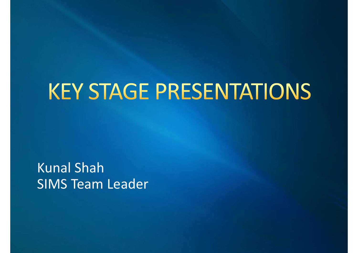# **KEY STAGE PRESENTATIONS**

Kunal Shah SIMS Team Leader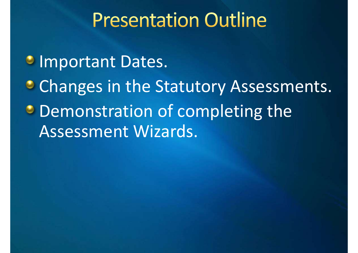## **Presentation Outline**

*C* Important Dates.

**Changes in the Statutory Assessments. • Demonstration of completing the** Assessment Wizards.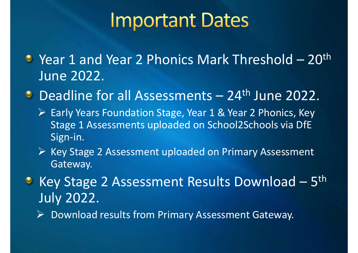**Important Dates<br>The 1 and Year 2 Phonics Mark Threshold – 20<sup>th</sup><br>June 2022.<br>Readling for all Assessments – 24th June 2022.** June 2022. **IMPOrtant Dates<br>
Year 1 and Year 2 Phonics Mark Threshold – 20<sup>th</sup><br>
June 2022.<br>
Deadline for all Assessments – 24<sup>th</sup> June 2022.<br>
> Early Years Foundation Stage, Year 1 & Year 2 Phonics, Key<br>
Stage 1 Assessments uploaded** 

- ▶ Early Years Foundation Stage, Year 1 & Year 2 Phonics, Key Stage 1 Assessments uploaded on School2Schools via DfE Sign-in. Deadline for all Assessments - 24<sup>th</sup> June 2022.<br>
> Early Years Foundation Stage, Year 1 & Year 2 Phonics, Key<br>
Stage 1 Assessments uploaded on School2Schools via DfE<br>
Sign-in.<br>
> Key Stage 2 Assessment uploaded on Primar
- $\triangleright$  Key Stage 2 Assessment uploaded on Primary Assessment Gateway.
- July 2022.

 $\triangleright$  Download results from Primary Assessment Gateway.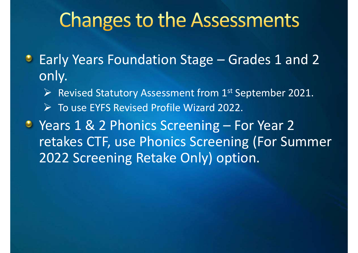- **Changes to the Assessments**<br>Early Years Foundation Stage Grades 1 and 2<br>only.<br>Early Statutory Assessment from 1<sup>st Sentember 2021</sub></sup> only.
	- $\triangleright$  Revised Statutory Assessment from 1<sup>st</sup> September 2021.
	- $\triangleright$  To use EYFS Revised Profile Wizard 2022.
- Critariges to the Assessifictits<br>
Early Years Foundation Stage Grades 1 and 2<br>
only.<br>
> Revised Statutory Assessment from 1<sup>st</sup> September 2021.<br>
> To use EYFS Revised Profile Wizard 2022.<br>
Years 1 & 2 Phonics Screening retakes CTF, use Phonics Screening (For Summer 2022 Screening Retake Only) option.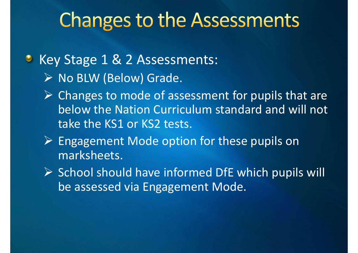## **Changes to the Assessments**

#### • Key Stage 1 & 2 Assessments:  $\triangleright$  No BLW (Below) Grade.

- $\triangleright$  Changes to mode of assessment for pupils that are below the Nation Curriculum standard and will not take the KS1 or KS2 tests.
- Engagement Mode option for these pupils on marksheets.
- $\triangleright$  School should have informed DfE which pupils will be assessed via Engagement Mode.